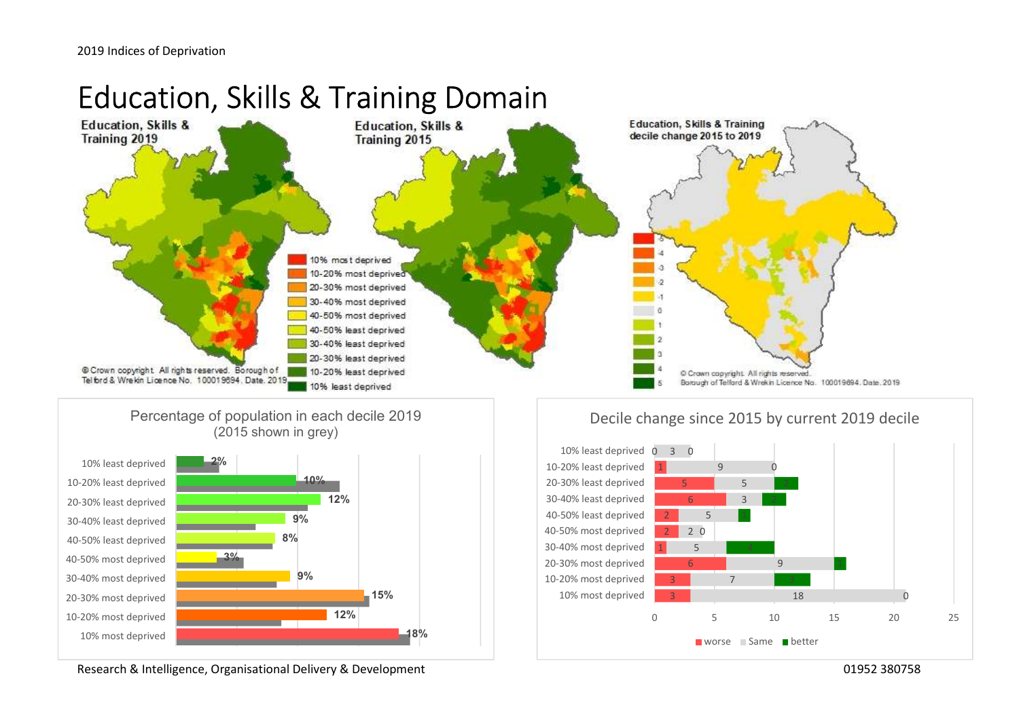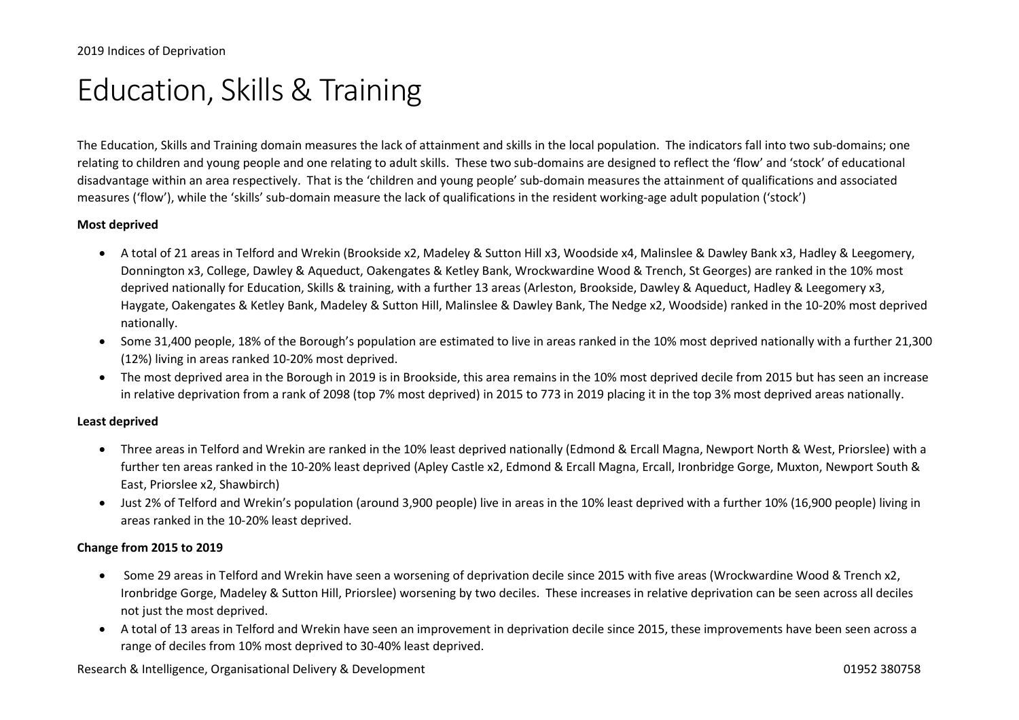## Education, Skills & Training

The Education, Skills and Training domain measures the lack of attainment and skills in the local population. The indicators fall into two sub-domains; one relating to children and young people and one relating to adult skills. These two sub-domains are designed to reflect the 'flow' and 'stock' of educational disadvantage within an area respectively. That is the 'children and young people' sub-domain measures the attainment of qualifications and associated measures ('flow'), while the 'skills' sub-domain measure the lack of qualifications in the resident working-age adult population ('stock')

#### Most deprived

- A total of 21 areas in Telford and Wrekin (Brookside x2, Madeley & Sutton Hill x3, Woodside x4, Malinslee & Dawley Bank x3, Hadley & Leegomery, Donnington x3, College, Dawley & Aqueduct, Oakengates & Ketley Bank, Wrockwardine Wood & Trench, St Georges) are ranked in the 10% most deprived nationally for Education, Skills & training, with a further 13 areas (Arleston, Brookside, Dawley & Aqueduct, Hadley & Leegomery x3, Haygate, Oakengates & Ketley Bank, Madeley & Sutton Hill, Malinslee & Dawley Bank, The Nedge x2, Woodside) ranked in the 10-20% most deprived nationally.
- Some 31,400 people, 18% of the Borough's population are estimated to live in areas ranked in the 10% most deprived nationally with a further 21,300 (12%) living in areas ranked 10-20% most deprived.
- The most deprived area in the Borough in 2019 is in Brookside, this area remains in the 10% most deprived decile from 2015 but has seen an increase in relative deprivation from a rank of 2098 (top 7% most deprived) in 2015 to 773 in 2019 placing it in the top 3% most deprived areas nationally.

#### Least deprived

- Three areas in Telford and Wrekin are ranked in the 10% least deprived nationally (Edmond & Ercall Magna, Newport North & West, Priorslee) with a further ten areas ranked in the 10-20% least deprived (Apley Castle x2, Edmond & Ercall Magna, Ercall, Ironbridge Gorge, Muxton, Newport South & East, Priorslee x2, Shawbirch)
- Just 2% of Telford and Wrekin's population (around 3,900 people) live in areas in the 10% least deprived with a further 10% (16,900 people) living in areas ranked in the 10-20% least deprived.

#### Change from 2015 to 2019

- Some 29 areas in Telford and Wrekin have seen a worsening of deprivation decile since 2015 with five areas (Wrockwardine Wood & Trench x2, Ironbridge Gorge, Madeley & Sutton Hill, Priorslee) worsening by two deciles. These increases in relative deprivation can be seen across all deciles not just the most deprived.
- A total of 13 areas in Telford and Wrekin have seen an improvement in deprivation decile since 2015, these improvements have been seen across a range of deciles from 10% most deprived to 30-40% least deprived.

Research & Intelligence, Organisational Delivery & Development 01952 380758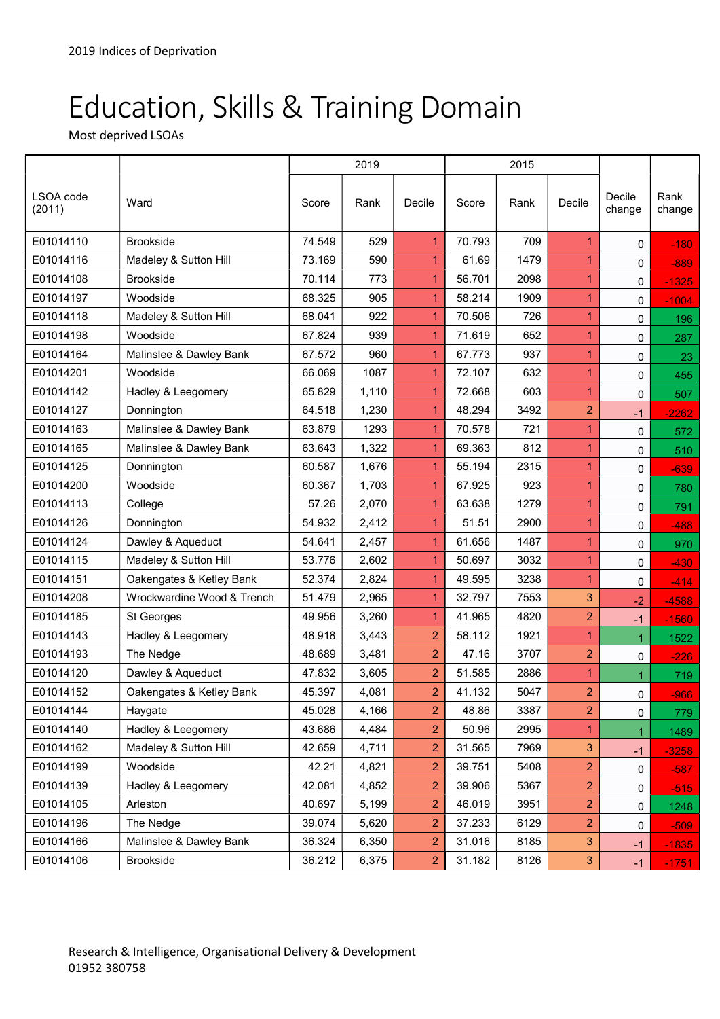# Education, Skills & Training Domain

Most deprived LSOAs

|                     |                            | 2019   |       |                | 2015   |      |                |                  |                |
|---------------------|----------------------------|--------|-------|----------------|--------|------|----------------|------------------|----------------|
| LSOA code<br>(2011) | Ward                       | Score  | Rank  | Decile         | Score  | Rank | Decile         | Decile<br>change | Rank<br>change |
| E01014110           | <b>Brookside</b>           | 74.549 | 529   | 1              | 70.793 | 709  | 1              | 0                | $-180$         |
| E01014116           | Madeley & Sutton Hill      | 73.169 | 590   | 1              | 61.69  | 1479 | 1              | 0                | $-889$         |
| E01014108           | <b>Brookside</b>           | 70.114 | 773   | 1              | 56.701 | 2098 | 1              | 0                | $-1325$        |
| E01014197           | Woodside                   | 68.325 | 905   | 1              | 58.214 | 1909 | 1              | 0                | $-1004$        |
| E01014118           | Madeley & Sutton Hill      | 68.041 | 922   | $\mathbf{1}$   | 70.506 | 726  | 1              | 0                | 196            |
| E01014198           | Woodside                   | 67.824 | 939   | 1              | 71.619 | 652  | 1              | 0                | 287            |
| E01014164           | Malinslee & Dawley Bank    | 67.572 | 960   | 1              | 67.773 | 937  | 1              | 0                | 23             |
| E01014201           | Woodside                   | 66.069 | 1087  | $\mathbf 1$    | 72.107 | 632  | 1              | 0                | 455            |
| E01014142           | Hadley & Leegomery         | 65.829 | 1,110 | 1              | 72.668 | 603  |                | 0                | 507            |
| E01014127           | Donnington                 | 64.518 | 1,230 | $\overline{1}$ | 48.294 | 3492 | $\overline{2}$ | $-1$             | $-2262$        |
| E01014163           | Malinslee & Dawley Bank    | 63.879 | 1293  | 1              | 70.578 | 721  |                | 0                | 572            |
| E01014165           | Malinslee & Dawley Bank    | 63.643 | 1,322 | $\mathbf{1}$   | 69.363 | 812  | 1              | 0                | 510            |
| E01014125           | Donnington                 | 60.587 | 1,676 | $\overline{1}$ | 55.194 | 2315 | 1              | 0                | $-639$         |
| E01014200           | Woodside                   | 60.367 | 1,703 | $\mathbf 1$    | 67.925 | 923  |                | 0                | 780            |
| E01014113           | College                    | 57.26  | 2,070 | $\mathbf 1$    | 63.638 | 1279 | 1              | 0                | 791            |
| E01014126           | Donnington                 | 54.932 | 2,412 | 1              | 51.51  | 2900 | 1              | 0                | $-488$         |
| E01014124           | Dawley & Aqueduct          | 54.641 | 2,457 | $\mathbf{1}$   | 61.656 | 1487 | 1              | 0                | 970            |
| E01014115           | Madeley & Sutton Hill      | 53.776 | 2,602 | 1              | 50.697 | 3032 | 1              | 0                | $-430$         |
| E01014151           | Oakengates & Ketley Bank   | 52.374 | 2,824 | $\mathbf{1}$   | 49.595 | 3238 | 1              | 0                | $-414$         |
| E01014208           | Wrockwardine Wood & Trench | 51.479 | 2,965 | 1              | 32.797 | 7553 | 3              | $-2$             | $-4588$        |
| E01014185           | St Georges                 | 49.956 | 3,260 | 1              | 41.965 | 4820 | $\overline{2}$ | $-1$             | $-1560$        |
| E01014143           | Hadley & Leegomery         | 48.918 | 3,443 | $\overline{2}$ | 58.112 | 1921 | 1.             | $\mathbf{1}$     | 1522           |
| E01014193           | The Nedge                  | 48.689 | 3,481 | $\overline{2}$ | 47.16  | 3707 | $\overline{2}$ | $\mathbf 0$      | $-226$         |
| E01014120           | Dawley & Aqueduct          | 47.832 | 3,605 | $\overline{2}$ | 51.585 | 2886 | $\mathbf{1}$   | $\mathbf{1}$     | 719            |
| E01014152           | Oakengates & Ketley Bank   | 45.397 | 4,081 | $\overline{2}$ | 41.132 | 5047 | $\overline{2}$ | 0                | $-966$         |
| E01014144           | Haygate                    | 45.028 | 4,166 | $\overline{c}$ | 48.86  | 3387 | $\overline{c}$ | $\pmb{0}$        | 779            |
| E01014140           | Hadley & Leegomery         | 43.686 | 4,484 | $\overline{2}$ | 50.96  | 2995 | 1.             | $\mathbf{1}$     | 1489           |
| E01014162           | Madeley & Sutton Hill      | 42.659 | 4,711 | 2              | 31.565 | 7969 | $\mathbf{3}$   | $-1$             | $-3258$        |
| E01014199           | Woodside                   | 42.21  | 4,821 | $\overline{c}$ | 39.751 | 5408 | $\overline{c}$ | 0                | $-587$         |
| E01014139           | Hadley & Leegomery         | 42.081 | 4,852 | 2              | 39.906 | 5367 | 2              | 0                | $-515$         |
| E01014105           | Arleston                   | 40.697 | 5,199 | $\overline{c}$ | 46.019 | 3951 | $\overline{2}$ | 0                | 1248           |
| E01014196           | The Nedge                  | 39.074 | 5,620 | 2              | 37.233 | 6129 | $\overline{2}$ | 0                | $-509$         |
| E01014166           | Malinslee & Dawley Bank    | 36.324 | 6,350 | 2              | 31.016 | 8185 | $\mathbf{3}$   | $-1$             | $-1835$        |
| E01014106           | Brookside                  | 36.212 | 6,375 | $\overline{c}$ | 31.182 | 8126 | $\mathbf{3}$   | $-1$             | $-1751$        |